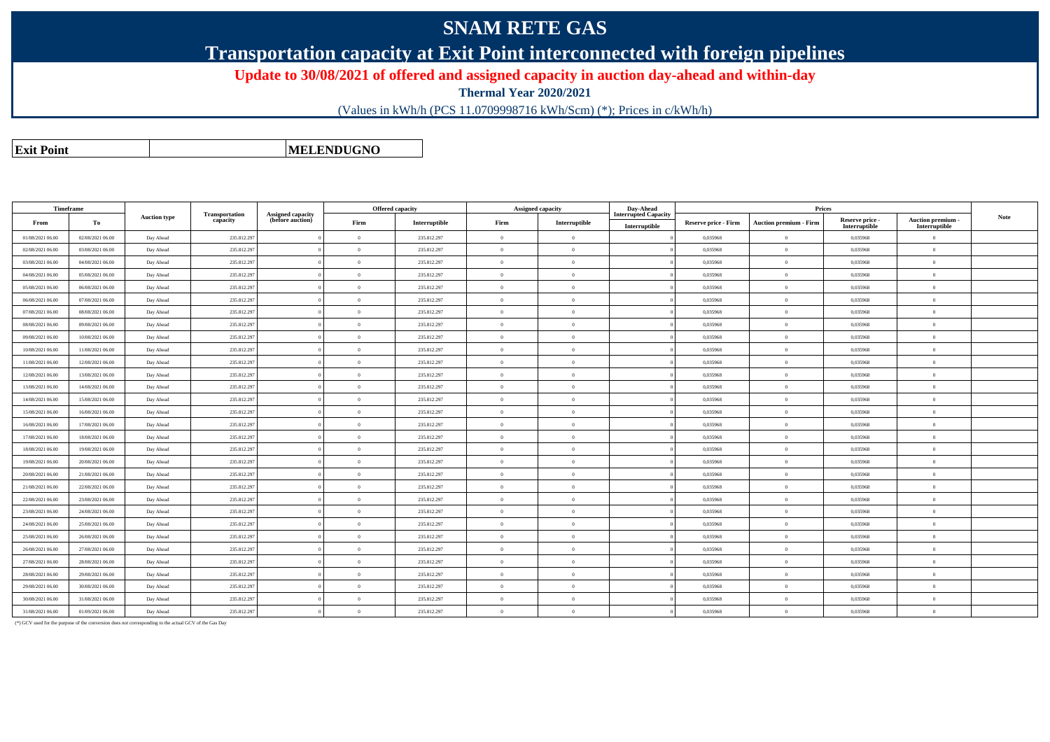## **SNAM RETE GAS**

**Transportation capacity at Exit Point interconnected with foreign pipelines**

**Update to 30/08/2021 of offered and assigned capacity in auction day-ahead and within-day**

**Thermal Year 2020/2021**

(Values in kWh/h (PCS 11.0709998716 kWh/Scm) (\*); Prices in c/kWh/h)

**Exit PointMELENDUGNO**

| Timeframe        |                  | <b>Auction type</b> |             |                            |                                       | Offered capacity | Assigned capacity |                | Day-Ahead     |                                              |                             |                               |                                  |                                         |
|------------------|------------------|---------------------|-------------|----------------------------|---------------------------------------|------------------|-------------------|----------------|---------------|----------------------------------------------|-----------------------------|-------------------------------|----------------------------------|-----------------------------------------|
| From             | To               |                     |             | Transportation<br>capacity | Assigned capacity<br>(before auction) | Firm             | Interruptible     | Firm           | Interruptible | <b>Interrupted Capacity</b><br>Interruptible | <b>Reserve price - Firm</b> | <b>Auction premium - Firm</b> | Reserve price -<br>Interruptible | <b>Auction premium</b><br>Interruptible |
| 01/08/2021 06:00 | 02/08/2021 06:00 | Day Ahead           | 235.812.297 |                            | $\Omega$                              | 235.812.297      | $\Omega$          | $\overline{0}$ |               | 0.035968                                     | $\theta$                    | 0,035968                      | $\Omega$                         |                                         |
| 02/08/2021 06:00 | 03/08/2021 06:00 | Day Ahead           | 235.812.29  |                            | $\Omega$                              | 235.812.297      |                   | $\overline{0}$ |               | 0.035968                                     | $\theta$                    | 0.035968                      | $\theta$                         |                                         |
| 03/08/2021 06:00 | 04/08/2021 06:00 | Day Ahead           | 235.812.297 |                            | $\Omega$                              | 235.812.297      | $\Omega$          | $\overline{0}$ |               | 0,035968                                     | $\overline{0}$              | 0,035968                      | $\overline{0}$                   |                                         |
| 04/08/2021 06:00 | 05/08/2021 06:00 | Day Ahead           | 235.812.297 |                            | $\theta$                              | 235.812.297      | $\Omega$          | $\overline{0}$ |               | 0.035968                                     | $\overline{0}$              | 0.035968                      | $\overline{0}$                   |                                         |
| 05/08/2021 06:00 | 06/08/2021 06:00 | Day Ahead           | 235.812.297 |                            | $\Omega$                              | 235.812.297      |                   | $\overline{0}$ |               | 0,035968                                     | $\theta$                    | 0,035968                      | $\overline{0}$                   |                                         |
| 06/08/2021 06:00 | 07/08/2021 06:00 | Day Ahead           | 235.812.297 |                            | $\Omega$                              | 235.812.297      |                   | $\overline{0}$ |               | 0.035968                                     | $\overline{0}$              | 0.035968                      | $\overline{0}$                   |                                         |
| 07/08/2021 06:00 | 08/08/2021 06:00 | Day Ahead           | 235.812.29  |                            | $\Omega$                              | 235.812.297      | $\Omega$          | $\overline{0}$ |               | 0.035968                                     | $\overline{0}$              | 0.035968                      | $\overline{0}$                   |                                         |
| 08/08/2021 06:00 | 09/08/2021 06:00 | Day Ahead           | 235.812.297 |                            | $\Omega$                              | 235.812.297      |                   | $\overline{0}$ |               | 0.035968                                     | $\overline{0}$              | 0.035968                      | $\overline{0}$                   |                                         |
| 09/08/2021 06:00 | 10/08/2021 06:00 | Day Ahead           | 235.812.297 |                            | $\theta$                              | 235.812.297      | $\Omega$          | $\overline{0}$ |               | 0,035968                                     | $\mathbf{0}$                | 0,035968                      | $\overline{0}$                   |                                         |
| 10/08/2021 06:00 | 11/08/2021 06:00 | Day Ahead           | 235.812.29  |                            | $\Omega$                              | 235.812.297      |                   | $\overline{0}$ |               | 0.035968                                     | $\theta$                    | 0,035968                      | $\Omega$                         |                                         |
| 11/08/2021 06:00 | 12/08/2021 06:00 | Day Ahead           | 235.812.297 |                            | $\theta$                              | 235.812.297      |                   | $\overline{0}$ |               | 0.035968                                     | $\theta$                    | 0.035968                      | $\theta$                         |                                         |
| 12/08/2021 06:00 | 13/08/2021 06:00 | Day Ahead           | 235.812.29  |                            | $\theta$                              | 235.812.297      | $\Omega$          | $\overline{0}$ |               | 0.035968                                     | $\overline{0}$              | 0.035968                      | $\overline{0}$                   |                                         |
| 13/08/2021 06:00 | 14/08/2021 06:00 | Day Ahead           | 235.812.297 |                            | $\Omega$                              | 235.812.297      | $\sqrt{2}$        | $\overline{0}$ |               | 0.035968                                     | $\overline{0}$              | 0.035968                      | $\overline{0}$                   |                                         |
| 14/08/2021 06:00 | 15/08/2021 06:00 | Day Ahead           | 235.812.297 |                            | $\Omega$                              | 235.812.297      | $\Omega$          | $\overline{0}$ |               | 0,035968                                     | $\overline{0}$              | 0,035968                      | $\overline{0}$                   |                                         |
| 15/08/2021 06:00 | 16/08/2021 06:00 | Day Ahead           | 235.812.297 |                            | $\theta$                              | 235.812.297      |                   | $\overline{0}$ |               | 0.035968                                     | $\theta$                    | 0.035968                      | $\theta$                         |                                         |
| 16/08/2021 06:00 | 17/08/2021 06:00 | Day Ahead           | 235.812.29  |                            | $\Omega$                              | 235.812.297      |                   | $\overline{0}$ |               | 0.035968                                     | $\theta$                    | 0.035968                      | $\theta$                         |                                         |
| 17/08/2021 06:00 | 18/08/2021 06:00 | Day Ahead           | 235.812.29  |                            | $\theta$                              | 235.812.297      | $\Omega$          | $\overline{0}$ |               | 0.035968                                     | $\overline{0}$              | 0.035968                      | $\overline{0}$                   |                                         |
| 18/08/2021 06:00 | 19/08/2021 06:00 | Day Ahead           | 235.812.297 |                            | $\theta$                              | 235.812.297      | $\Omega$          | $\overline{0}$ |               | 0,035968                                     | $\overline{0}$              | 0,035968                      | $\overline{0}$                   |                                         |
| 19/08/2021 06:00 | 20/08/2021 06:00 | Day Ahead           | 235.812.297 |                            | $\Omega$                              | 235.812.297      | $\Omega$          | $\overline{0}$ |               | 0.035968                                     | $\overline{0}$              | 0.035968                      | $\overline{0}$                   |                                         |
| 20/08/2021 06:00 | 21/08/2021 06:00 | Day Ahead           | 235.812.29  |                            | $\Omega$                              | 235.812.297      |                   | $\overline{0}$ |               | 0.035968                                     | $\theta$                    | 0.035968                      | $\theta$                         |                                         |
| 21/08/2021 06:00 | 22/08/2021 06:00 | Day Ahead           | 235.812.29  |                            | $\theta$                              | 235.812.297      |                   | $\overline{0}$ |               | 0.035968                                     | $\theta$                    | 0.035968                      | $\theta$                         |                                         |
| 22/08/2021 06:00 | 23/08/2021 06:00 | Day Ahead           | 235.812.297 |                            | $\theta$                              | 235.812.297      | $\Omega$          | $\overline{0}$ |               | 0,035968                                     | $\theta$                    | 0,035968                      | $\overline{0}$                   |                                         |
| 23/08/2021 06:00 | 24/08/2021 06:00 | Day Ahead           | 235.812.297 |                            | $\theta$                              | 235.812.297      | $\Omega$          | $\overline{0}$ |               | 0.035968                                     | $\overline{0}$              | 0.035968                      | $\overline{0}$                   |                                         |
| 24/08/2021 06:00 | 25/08/2021 06:00 | Day Ahead           | 235.812.297 |                            | $\Omega$                              | 235.812.297      | $\Omega$          | $\overline{0}$ |               | 0,035968                                     | $\overline{0}$              | 0,035968                      | $\overline{0}$                   |                                         |
| 25/08/2021 06:00 | 26/08/2021 06:00 | Day Ahead           | 235.812.29  |                            | $\Omega$                              | 235.812.297      | $\Omega$          | $\overline{0}$ |               | 0.035968                                     | $\overline{0}$              | 0.035968                      | $\overline{0}$                   |                                         |
| 26/08/2021 06:00 | 27/08/2021 06:00 | Day Ahead           | 235.812.297 |                            | $\Omega$                              | 235.812.297      |                   | $\overline{0}$ |               | 0.035968                                     | $\theta$                    | 0.035968                      | $\overline{0}$                   |                                         |
| 27/08/2021 06:00 | 28/08/2021 06:00 | Day Ahead           | 235.812.29  |                            | $\theta$                              | 235.812.297      | $\Omega$          | $\overline{0}$ |               | 0,035968                                     | $\overline{0}$              | 0,035968                      | $\overline{0}$                   |                                         |
| 28/08/2021 06:00 | 29/08/2021 06:00 | Day Ahead           | 235.812.297 |                            | $\theta$                              | 235.812.297      |                   | $\overline{0}$ |               | 0,035968                                     | $\overline{0}$              | 0,035968                      | $\overline{0}$                   |                                         |
| 29/08/2021 06:00 | 30/08/2021 06:00 | Day Ahead           | 235.812.29  |                            | $\Omega$                              | 235.812.297      |                   | $\overline{0}$ |               | 0,035968                                     | $\overline{0}$              | 0,035968                      | $\overline{0}$                   |                                         |
| 30/08/2021 06:00 | 31/08/2021 06:00 | Day Ahead           | 235.812.297 |                            | $\Omega$                              | 235.812.297      | $\Omega$          | $\overline{0}$ |               | 0.035968                                     | $\theta$                    | 0.035968                      | $\theta$                         |                                         |
| 31/08/2021 06:00 | 01/09/2021 06:00 | Day Ahead           | 235.812.297 |                            | $\theta$                              | 235.812.297      | $\Omega$          | $\overline{0}$ |               | 0.035968                                     | $\overline{0}$              | 0.035968                      | $\overline{0}$                   |                                         |

(\*) GCV used for the purpose of the conversion does not corresponding to the actual GCV of the Gas Day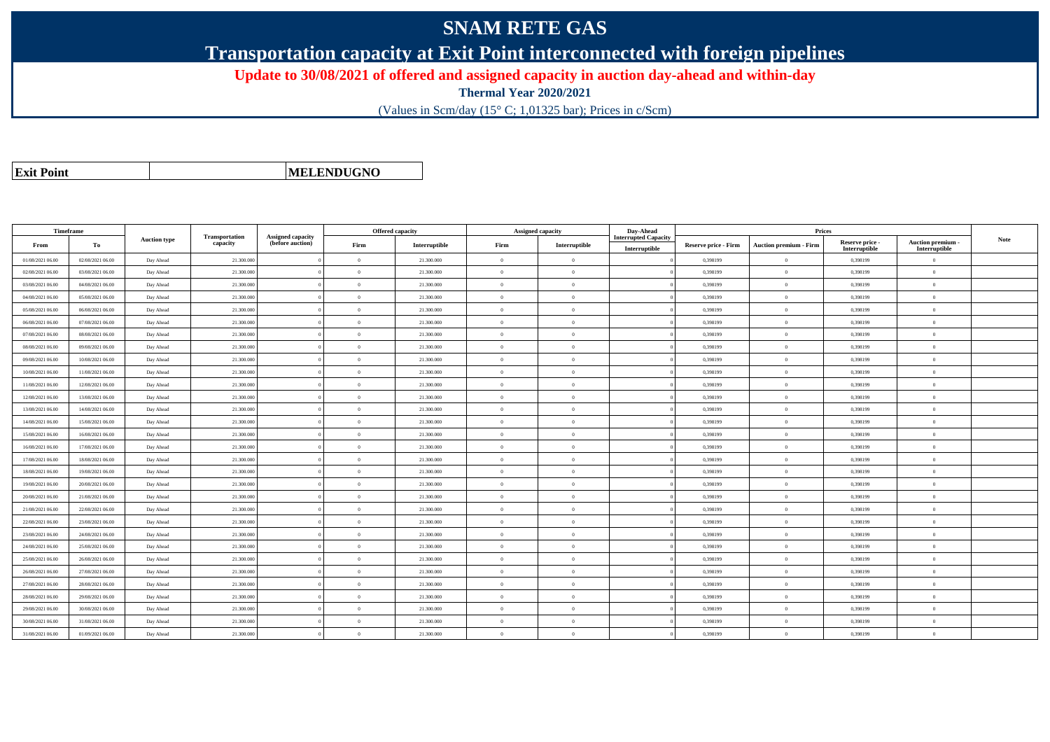## **SNAM RETE GAS**

**Transportation capacity at Exit Point interconnected with foreign pipelines**

**Update to 30/08/2021 of offered and assigned capacity in auction day-ahead and within-day**

**Thermal Year 2020/2021**

(Values in Scm/day (15° C; 1,01325 bar); Prices in c/Scm)

|  | <b>Exit Point</b> |
|--|-------------------|
|  |                   |

**MELENDUGNO**

|                  | Timeframe        |                     |                                   |                                              | <b>Offered capacity</b> |               |                | <b>Assigned capacity</b> |                                              | Prices               |                               |                                  |                                    |             |
|------------------|------------------|---------------------|-----------------------------------|----------------------------------------------|-------------------------|---------------|----------------|--------------------------|----------------------------------------------|----------------------|-------------------------------|----------------------------------|------------------------------------|-------------|
| From             | To               | <b>Auction type</b> | <b>Transportation</b><br>capacity | <b>Assigned capacity</b><br>(before auction) | Firm                    | Interruptible | Firm           | Interruptible            | <b>Interrupted Capacity</b><br>Interruptible | Reserve price - Firm | <b>Auction premium - Firm</b> | Reserve price -<br>Interruptible | Auction premium -<br>Interruptible | <b>Note</b> |
| 01/08/2021 06:00 | 02/08/2021 06:00 | Day Ahead           | 21.300.000                        |                                              | $\Omega$                | 21.300.000    | $\Omega$       | $\Omega$                 |                                              | 0,398199             | $\Omega$                      | 0.398199                         | $\Omega$                           |             |
| 02/08/2021 06:00 | 03/08/2021 06:00 | Day Ahead           | 21.300,000                        |                                              | $\Omega$                | 21.300.000    | $\theta$       | $\Omega$                 |                                              | 0.398199             | $\Omega$                      | 0.398199                         | $\overline{0}$                     |             |
| 03/08/2021 06:00 | 04/08/2021 06:00 | Day Ahead           | 21.300.000                        |                                              | $\theta$                | 21.300.000    | $\overline{0}$ | $\overline{0}$           |                                              | 0,398199             | $\overline{0}$                | 0,398199                         | $\overline{0}$                     |             |
| 04/08/2021 06:00 | 05/08/2021 06:00 | Day Ahead           | 21.300.000                        |                                              | $\theta$                | 21.300.000    | $\overline{0}$ | $\overline{0}$           |                                              | 0,398199             | $\overline{0}$                | 0,398199                         | $\theta$                           |             |
| 05/08/2021 06:00 | 06/08/2021 06:00 | Day Ahead           | 21.300.000                        |                                              | $\theta$                | 21.300.000    | $\overline{0}$ | $\overline{0}$           |                                              | 0,398199             | $\overline{0}$                | 0,398199                         | $\mathbf{0}$                       |             |
| 06/08/2021 06:00 | 07/08/2021 06:00 | Day Ahead           | 21.300.000                        |                                              | $\theta$                | 21.300.000    | $\theta$       | $\theta$                 |                                              | 0.398199             | $\Omega$                      | 0,398199                         | $\Omega$                           |             |
| 07/08/2021 06:00 | 08/08/2021 06:00 | Day Ahead           | 21.300.000                        |                                              | $\Omega$                | 21.300,000    | $\theta$       | $\overline{0}$           |                                              | 0.398199             | $\Omega$                      | 0.398199                         | $\overline{0}$                     |             |
| 08/08/2021 06:00 | 09/08/2021 06:00 | Day Ahead           | 21.300.000                        |                                              | $\Omega$                | 21.300.000    | $\theta$       | $\overline{0}$           |                                              | 0,398199             | $\overline{0}$                | 0,398199                         | $\theta$                           |             |
| 09/08/2021 06:00 | 10/08/2021 06:00 | Day Ahead           | 21.300.000                        |                                              | $\Omega$                | 21.300.000    | $\overline{0}$ | $\Omega$                 |                                              | 0,398199             | $\overline{0}$                | 0,398199                         | $\theta$                           |             |
| 10/08/2021 06:00 | 11/08/2021 06:00 | Day Ahead           | 21.300.000                        |                                              | $\Omega$                | 21.300.000    | $\overline{0}$ | $\Omega$                 |                                              | 0,398199             | $\overline{0}$                | 0,398199                         | $\mathbf{0}$                       |             |
| 11/08/2021 06:00 | 12/08/2021 06:00 | Day Ahead           | 21.300.000                        |                                              | $\theta$                | 21.300.000    | $\theta$       | $\Omega$                 |                                              | 0,398199             | $\theta$                      | 0,398199                         | $\Omega$                           |             |
| 12/08/2021 06:00 | 13/08/2021 06:00 | Day Ahead           | 21.300.000                        |                                              | $\Omega$                | 21.300.000    | $\theta$       | $\Omega$                 |                                              | 0,398199             | $\overline{0}$                | 0,398199                         | $\mathbf{0}$                       |             |
| 13/08/2021 06:00 | 14/08/2021 06:00 | Day Ahead           | 21.300.000                        |                                              | $\Omega$                | 21.300.000    | $\theta$       | $\Omega$                 |                                              | 0,398199             | $\Omega$                      | 0,398199                         | $\overline{0}$                     |             |
| 14/08/2021 06:00 | 15/08/2021 06:00 | Day Ahead           | 21.300.000                        |                                              | $\theta$                | 21,300,000    | $\theta$       | $\overline{0}$           |                                              | 0.398199             | $\overline{0}$                | 0,398199                         | $\theta$                           |             |
| 15/08/2021 06:00 | 16/08/2021 06:00 | Day Ahead           | 21.300.000                        |                                              | $\Omega$                | 21.300.000    | $\theta$       | $\Omega$                 |                                              | 0,398199             | $\theta$                      | 0,398199                         | $\Omega$                           |             |
| 16/08/2021 06:00 | 17/08/2021 06:00 | Day Ahead           | 21.300.000                        |                                              | $\Omega$                | 21.300.000    | $\theta$       | $\Omega$                 |                                              | 0,398199             | $\Omega$                      | 0.398199                         | $\Omega$                           |             |
| 17/08/2021 06:00 | 18/08/2021 06:00 | Day Ahead           | 21.300.000                        |                                              | $\Omega$                | 21.300.000    | $\Omega$       | $\Omega$                 |                                              | 0,398199             | $\overline{0}$                | 0,398199                         | $\Omega$                           |             |
| 18/08/2021 06:00 | 19/08/2021 06:00 | Day Ahead           | 21.300.000                        |                                              | $\theta$                | 21.300.000    | $\theta$       | $\Omega$                 |                                              | 0.398199             | $\overline{0}$                | 0.398199                         | $\Omega$                           |             |
| 19/08/2021 06:00 | 20/08/2021 06:00 | Day Ahead           | 21.300.000                        |                                              | $\theta$                | 21.300.000    | $\overline{0}$ | $\overline{0}$           |                                              | 0,398199             | $\overline{0}$                | 0,398199                         | $\theta$                           |             |
| 20/08/2021 06:00 | 21/08/2021 06:00 | Day Ahead           | 21.300.000                        |                                              | $\Omega$                | 21.300.000    | $\theta$       | $\Omega$                 |                                              | 0,398199             | $\Omega$                      | 0,398199                         | $\Omega$                           |             |
| 21/08/2021 06:00 | 22/08/2021 06:00 | Day Ahead           | 21.300.000                        |                                              | $\theta$                | 21.300.000    | $\overline{0}$ | $\overline{0}$           |                                              | 0,398199             | $\overline{0}$                | 0,398199                         | $\mathbf{0}$                       |             |
| 22/08/2021 06:00 | 23/08/2021 06:00 | Day Ahead           | 21.300.000                        |                                              | $\theta$                | 21.300,000    | $\theta$       | $\Omega$                 |                                              | 0,398199             | $\overline{0}$                | 0.398199                         | $\Omega$                           |             |
| 23/08/2021 06:00 | 24/08/2021 06:00 | Day Ahead           | 21.300.000                        |                                              | $\Omega$                | 21.300.000    | $\theta$       | $\theta$                 |                                              | 0,398199             | $\overline{0}$                | 0,398199                         | $\Omega$                           |             |
| 24/08/2021 06:00 | 25/08/2021 06:00 | Day Ahead           | 21.300.000                        |                                              | $\Omega$                | 21.300,000    | $\Omega$       | $\Omega$                 |                                              | 0.398199             | $\overline{0}$                | 0.398199                         | $\Omega$                           |             |
| 25/08/2021 06:00 | 26/08/2021 06:00 | Day Ahead           | 21.300.000                        |                                              | $\Omega$                | 21.300.000    | $\theta$       | $\Omega$                 |                                              | 0,398199             | $\theta$                      | 0,398199                         | $\Omega$                           |             |
| 26/08/2021 06:00 | 27/08/2021 06:00 | Day Ahead           | 21.300.000                        |                                              | $\theta$                | 21.300.000    | $\overline{0}$ | $\overline{0}$           |                                              | 0,398199             | $\overline{0}$                | 0,398199                         | $\mathbf{0}$                       |             |
| 27/08/2021 06:00 | 28/08/2021 06:00 | Day Ahead           | 21.300.000                        |                                              | $\Omega$                | 21.300.000    | $\theta$       | $\Omega$                 |                                              | 0,398199             | $\overline{0}$                | 0,398199                         | $\theta$                           |             |
| 28/08/2021 06:00 | 29/08/2021 06:00 | Day Ahead           | 21.300.000                        |                                              | $\theta$                | 21.300.000    | $\overline{0}$ | $\theta$                 |                                              | 0,398199             | $\overline{0}$                | 0,398199                         | $\overline{0}$                     |             |
| 29/08/2021 06:00 | 30/08/2021 06:00 | Day Ahead           | 21.300.000                        |                                              | $\Omega$                | 21.300,000    | $\theta$       | $\Omega$                 |                                              | 0.398199             | $\theta$                      | 0,398199                         | $\Omega$                           |             |
| 30/08/2021 06:00 | 31/08/2021 06:00 | Day Ahead           | 21.300.000                        |                                              | $\Omega$                | 21.300.000    | $\overline{0}$ | $\overline{0}$           |                                              | 0,398199             | $\overline{0}$                | 0,398199                         | $\overline{0}$                     |             |
| 31/08/2021 06:00 | 01/09/2021 06:00 | Day Ahead           | 21.300.000                        |                                              | $\theta$                | 21.300.000    | $\Omega$       | $\Omega$                 |                                              | 0,398199             | $\theta$                      | 0,398199                         | $\Omega$                           |             |